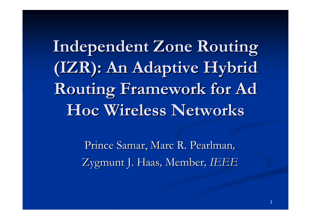**Independent Zone Routing Independent Zone Routing (IZR): An Adaptive Hybrid (IZR): An Adaptive Hybrid**  Routing Framework for Ad **Hoc Wireless Networks Hoc Wireless Networks**

> Prince Samar, Marc R. Pearlman, Zygmunt J. Haas, Member, *IEEE*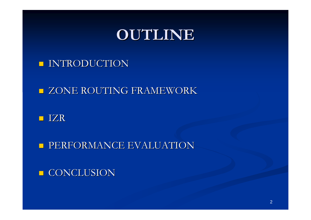## **OUTLINE OUTLINE**

#### **INTRODUCTION**

#### **EXCONE ROUTING FRAMEWORK**

#### **I** IZR

**PERFORMANCE EVALUATION** 

#### **CONCLUSION**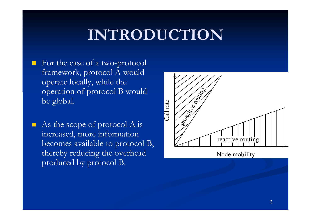# **INTRODUCTION**

- For the case of a two-protocol framework, protocol A would operate locally, while the operation of protocol B would be global.
- П As the scope of protocol A is increased, more information becomes available to protocol B, thereby reducing the overhead produced by protocol B.

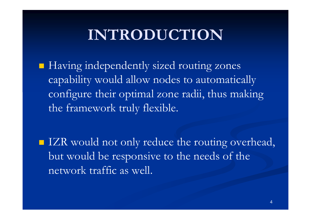## **INTRODUCTION**

**Having independently sized routing zones** capability would allow nodes to automatically configure their optimal zone radii, thus making the framework truly flexible.

IZR would not only reduce the routing overhead, but would be responsive to the needs of the network traffic as well.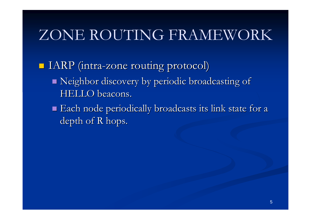# ZONE ROUTING FRAMEWORK

**IARP** (intra-zone routing protocol)

- $\blacksquare$  Neighbor discovery by periodic broadcasting of HELLO beacons. HELLO beacons.
- $\blacksquare$  Each node periodically broadcasts its link state for a depth of R hops.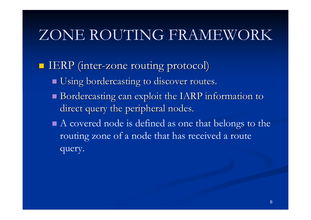# ZONE ROUTING FRAMEWORK

**IERP** (inter-zone routing protocol)

- **Using bordercasting to discover routes.**
- $\blacksquare$  Bordercasting can exploit the IARP information to direct query the peripheral nodes.

■ A covered node is defined as one that belongs to the routing zone of a node that has received a route query.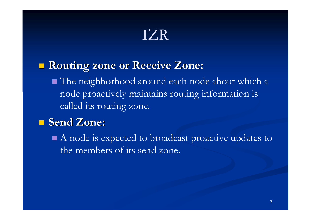### **Routing zone or Receive Zone: Routing zone or Receive Zone:**

■ The neighborhood around each node about which a node proactively maintains routing information is called its routing zone.

#### **Send Zone: Send Zone:**

A node is expected to broadcast proactive updates to the members of its send zone.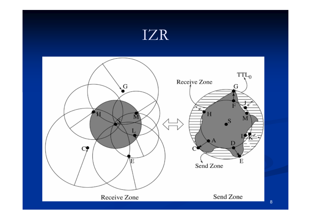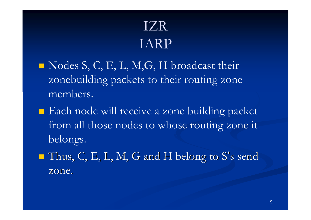## IZRIARP

- $\blacksquare$  Nodes S, C, E, L, M, G, H broadcast their zonebuilding packets to their routing zone members.
- Each node will receive a zone building packet from all those nodes to whose routing zone it belongs.
- p.  $\blacksquare$  Thus, C, E, L, M, G and H belong to S's send zone.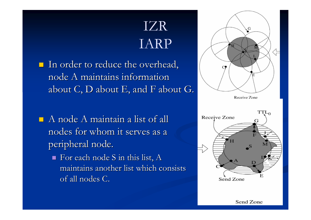## IZRIARP

- In order to reduce the overhead, node A maintains information about  $C$ ,  $D$  about  $E$ , and  $F$  about  $G$ .
- $\blacksquare$  A node A maintain a list of all nodes for whom it serves as a peripheral node.
	- $\blacksquare$  For each node S in this list, A maintains another list which consists of all nodes C.



Receive Zone

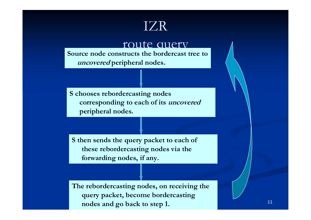**route duety**<br>Source node constructs the bordercast tree to **uncovered peripheral nodes.**

**S chooses rebordercasting nodes corresponding to each of its uncovered peripheral nodes.**

**S then sends the query packet to each of these rebordercasting nodes via the forwarding nodes, if any.**

**The rebordercasting nodes, on receiving the query packet, become bordercasting nodes and go back to step 1.**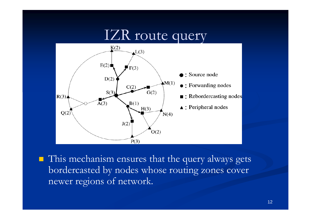## IZR route query



■ This mechanism ensures that the query always gets bordercasted by nodes whose routing zones cover newer regions of network.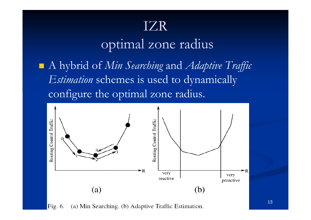## optimal zone radius

■ A hybrid of *Min Searching* and *Adaptive Traffic Estimation* schemes is used to dynamically configure the optimal zone radius.



(a) Min Searching. (b) Adaptive Traffic Estimation. Fig.  $6$ .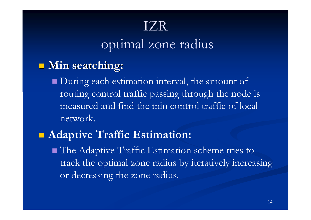## optimal zone radius

#### $\blacksquare$  **Min seatching:**

**D**uring each estimation interval, the amount of routing control traffic passing through the node is measured and find the min control traffic of local network.

#### **Adaptive Traffic Estimation:**

 The Adaptive Traffic Estimation scheme tries to track the optimal zone radius by iteratively increasing or decreasing the zone radius.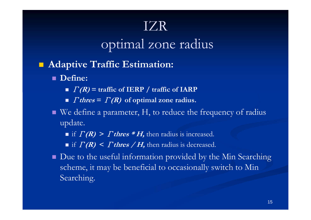## optimal zone radius

- **Service Service Adaptive Traffic Estimation:**
	- **Define:**
		- Γ**(R) = traffic of IERP / traffic of IARP**
		- *Γthres* = *Γ(R)* of optimal zone radius.
	- We define a parameter, H, to reduce the frequency of radius update.
		- if  $\Gamma(R)$  >  $\Gamma$  thres  $*$  H, then radius is increased.

■ if  $\Gamma(R)$  <  $\Gamma$  thres  $/H$ , then radius is decreased.

■ Due to the useful information provided by the Min Searching scheme, it may be beneficial to occasionally switch to Min Searching.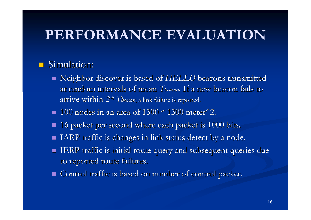#### **Service Service** Simulation:

- Neighbor discover is based of *HELLO* beacons transmitted at random intervals of mean *Tbeacon*. If a new beacon fails to .  $\ar{rive within\ }2^\ast\ The\ }$  and  $\ar{r|s}$  ink failure is reported.
- $\blacksquare$  100 nodes in an area of 1300 \* 1300 meter  $^2$ .
- 16 packet per second where each packet is 1000 bits.
- $\blacksquare$  IARP traffic is changes in link status detect by a node.
- $\blacksquare$  IERP traffic is initial route query and subsequent queries due to reported route failures.
- $\blacksquare$  Control traffic is based on number of control packet.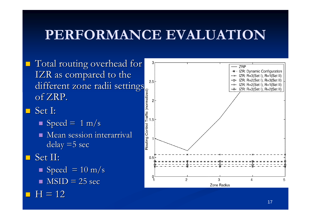- **T** Total routing overhead for IZR as compared to the different zone radii settings<br>of ZRP.<br>Set I: of ZRP.
- Set I:
	- $\blacksquare$  Speed = 1 m/s
	- $\blacksquare$  Mean session interarrival  $delay = 5 sec$
- $\blacksquare$  Set II:
	- $\blacksquare$  Speed = 10 m/s
	- $\blacksquare$  MSID = 25 sec
- $\blacksquare$  H = 12

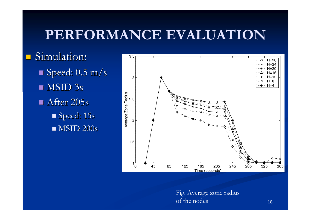$\blacksquare$  Simulation:  $\blacksquare$  Speed:  $0.5\ \mathrm{m/s}$  $\blacksquare$  MSID 3s  $\blacksquare$  After 205s  $\blacksquare$  Speed: 15s  $\blacksquare$  MSID 200s



Fig. Average zone radius of the nodes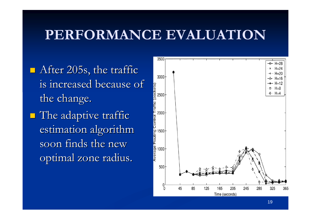$\blacksquare$  After 205s, the traffic is increased because of the change.  $\blacksquare$  The adaptive traffic estimation algorithm soon finds the new optimal zone radius.

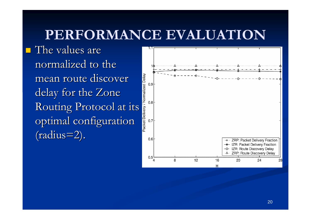$\blacksquare$  The values are normalized to the mean route discover delay for the Zone mean route discover<br>delay for the Zone<br>Routing Protocol at its<br>optimal configuration optimal configuration  $(radius=2).$ 

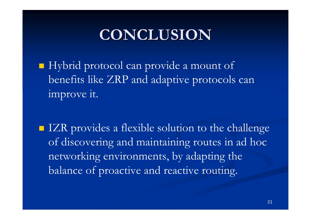## **CONCLUSION CONCLUSION**

Hybrid protocol can provide a mount of benefits like ZRP and adaptive protocols can improve it.

■ IZR provides a flexible solution to the challenge of discovering and maintaining routes in ad hoc networking environments, by adapting the balance of proactive and reactive routing.